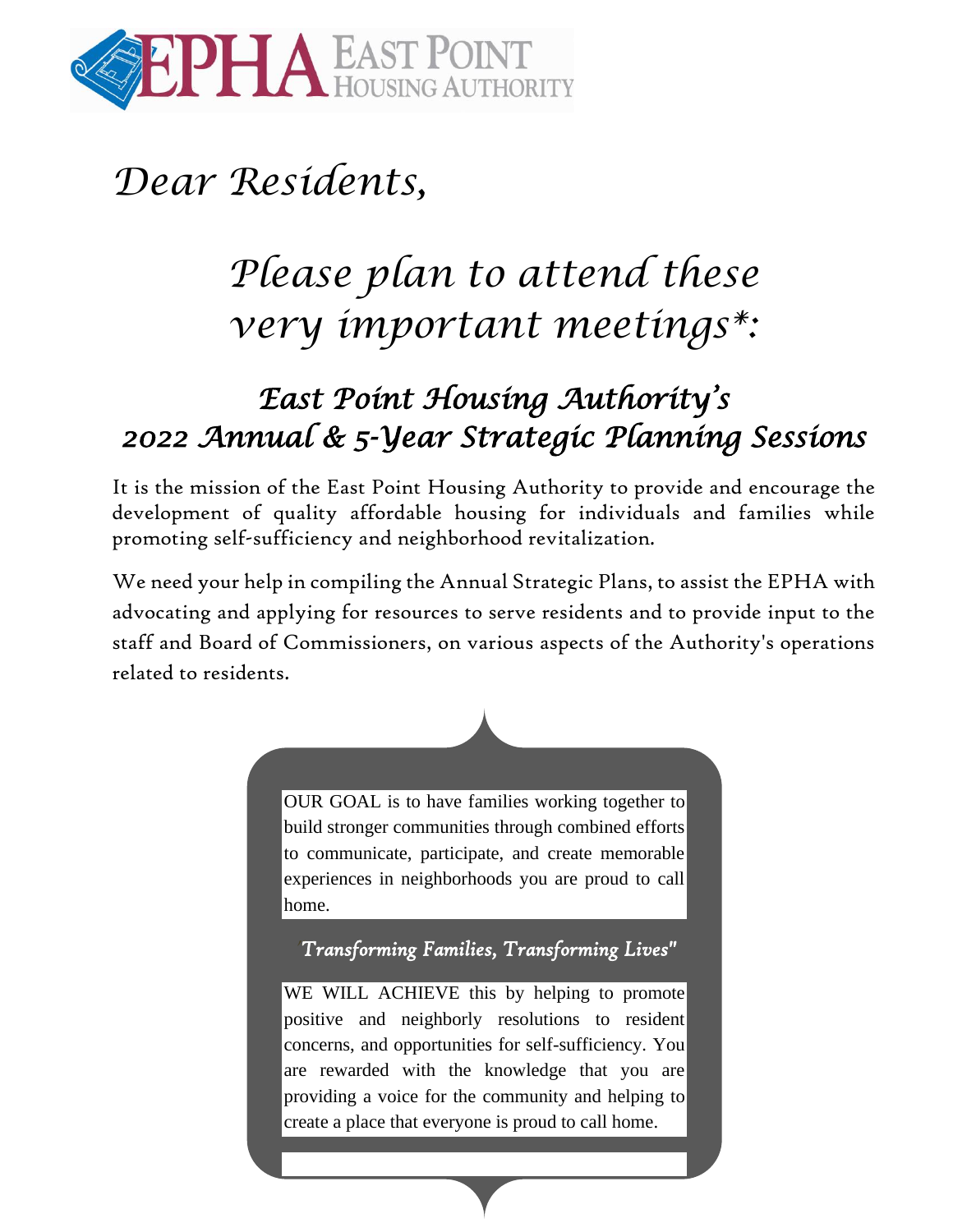

## *Dear Residents,*

# *Please plan to attend these very important meetings\*:*

### *East Point Housing Authority's 2022 Annual & 5-Year Strategic Planning Sessions*

It is the mission of the East Point Housing Authority to provide and encourage the development of quality affordable housing for individuals and families while promoting self-sufficiency and neighborhood revitalization.

We need your help in compiling the Annual Strategic Plans, to assist the EPHA with advocating and applying for resources to serve residents and to provide input to the staff and Board of Commissioners, on various aspects of the Authority's operations related to residents.



OUR GOAL is to have families working together to build stronger communities through combined efforts to communicate, participate, and create memorable experiences in neighborhoods you are proud to call home.

**"***Transforming Families, Transforming Lives"*

WE WILL ACHIEVE this by helping to promote positive and neighborly resolutions to resident concerns, and opportunities for self-sufficiency. You are rewarded with the knowledge that you are providing a voice for the community and helping to create a place that everyone is proud to call home.